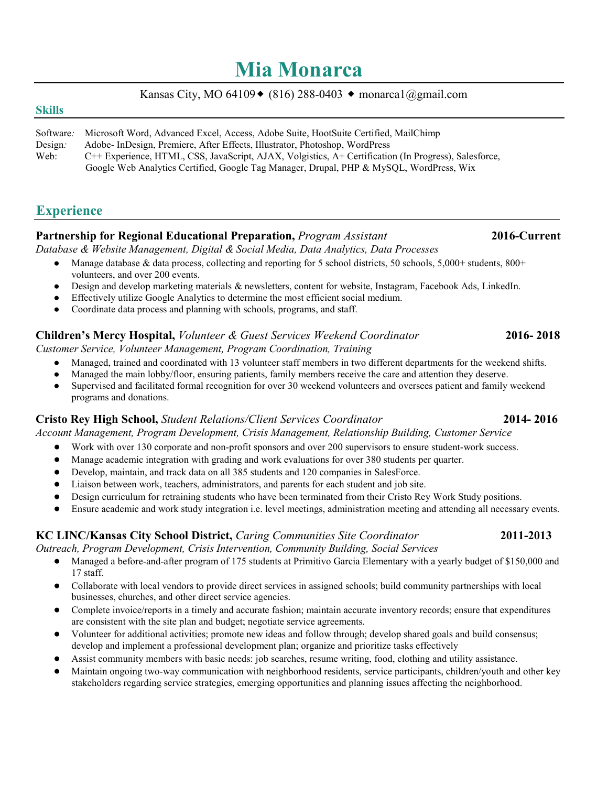# **Mia Monarca**

# Kansas City, MO 64109  $\bullet$  (816) 288-0403  $\bullet$  monarca1@gmail.com

### **Skills**

| Software: | Microsoft Word, Advanced Excel, Access, Adobe Suite, HootSuite Certified, MailChimp                  |
|-----------|------------------------------------------------------------------------------------------------------|
| Design:   | Adobe-InDesign, Premiere, After Effects, Illustrator, Photoshop, WordPress                           |
| Web:      | C++ Experience, HTML, CSS, JavaScript, AJAX, Volgistics, A+ Certification (In Progress), Salesforce, |
|           | Google Web Analytics Certified, Google Tag Manager, Drupal, PHP & MySQL, WordPress, Wix              |

# **Experience**

# **Partnership for Regional Educational Preparation,** *Program Assistant* **2016-Current**

*Database & Website Management, Digital & Social Media, Data Analytics, Data Processes*

- Manage database & data process, collecting and reporting for 5 school districts, 50 schools, 5,000+ students,  $800+$ volunteers, and over 200 events.
- Design and develop marketing materials & newsletters, content for website, Instagram, Facebook Ads, LinkedIn.
- Effectively utilize Google Analytics to determine the most efficient social medium.
- Coordinate data process and planning with schools, programs, and staff.

### **Children's Mercy Hospital,** *Volunteer & Guest Services Weekend Coordinator* **2016- 2018** *Customer Service, Volunteer Management, Program Coordination, Training*

- Managed, trained and coordinated with 13 volunteer staff members in two different departments for the weekend shifts.
- Managed the main lobby/floor, ensuring patients, family members receive the care and attention they deserve.
- Supervised and facilitated formal recognition for over 30 weekend volunteers and oversees patient and family weekend programs and donations.

### **Cristo Rey High School,** *Student Relations/Client Services Coordinator* **2014- 2016**

*Account Management, Program Development, Crisis Management, Relationship Building, Customer Service*

- Work with over 130 corporate and non-profit sponsors and over 200 supervisors to ensure student-work success.
- Manage academic integration with grading and work evaluations for over 380 students per quarter.
- Develop, maintain, and track data on all 385 students and 120 companies in SalesForce.
- Liaison between work, teachers, administrators, and parents for each student and job site.
- Design curriculum for retraining students who have been terminated from their Cristo Rey Work Study positions.
- Ensure academic and work study integration i.e. level meetings, administration meeting and attending all necessary events.

### **KC LINC/Kansas City School District,** *Caring Communities Site Coordinator* **2011-2013**

*Outreach, Program Development, Crisis Intervention, Community Building, Social Services*

- Managed a before-and-after program of 175 students at Primitivo Garcia Elementary with a yearly budget of \$150,000 and 17 staff.
- Collaborate with local vendors to provide direct services in assigned schools; build community partnerships with local businesses, churches, and other direct service agencies.
- Complete invoice/reports in a timely and accurate fashion; maintain accurate inventory records; ensure that expenditures are consistent with the site plan and budget; negotiate service agreements.
- Volunteer for additional activities; promote new ideas and follow through; develop shared goals and build consensus; develop and implement a professional development plan; organize and prioritize tasks effectively
- Assist community members with basic needs: job searches, resume writing, food, clothing and utility assistance.
- Maintain ongoing two-way communication with neighborhood residents, service participants, children/youth and other key stakeholders regarding service strategies, emerging opportunities and planning issues affecting the neighborhood.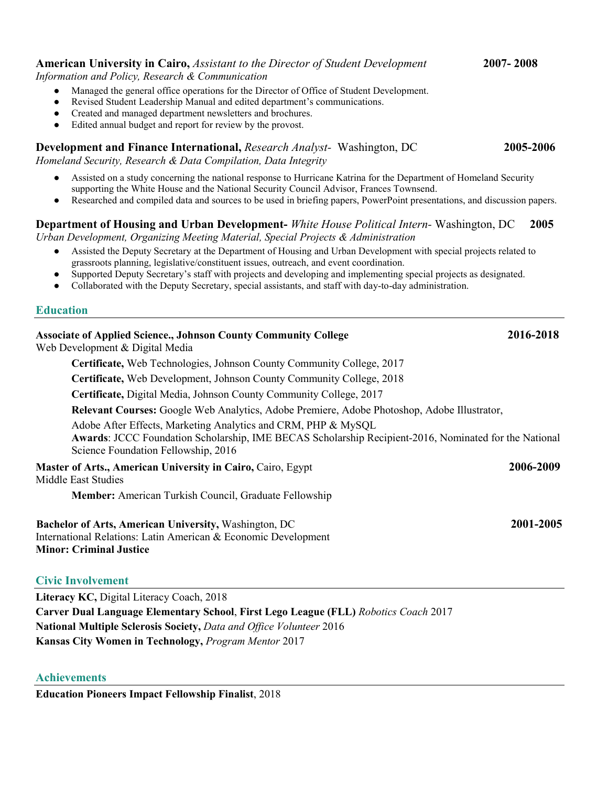### **American University in Cairo,** *Assistant to the Director of Student Development* **2007- 2008**

*Information and Policy, Research & Communication*

- Managed the general office operations for the Director of Office of Student Development.
- Revised Student Leadership Manual and edited department's communications.
- Created and managed department newsletters and brochures.
- Edited annual budget and report for review by the provost.

## **Development and Finance International,** *Research Analyst*- Washington, DC 2005-2006

*Homeland Security, Research & Data Compilation, Data Integrity*

- Assisted on a study concerning the national response to Hurricane Katrina for the Department of Homeland Security supporting the White House and the National Security Council Advisor, Frances Townsend.
- Researched and compiled data and sources to be used in briefing papers, PowerPoint presentations, and discussion papers.

# **Department of Housing and Urban Development-** *White House Political Intern-* Washington, DC **2005**

*Urban Development, Organizing Meeting Material, Special Projects & Administration*

- Assisted the Deputy Secretary at the Department of Housing and Urban Development with special projects related to grassroots planning, legislative/constituent issues, outreach, and event coordination.
- Supported Deputy Secretary's staff with projects and developing and implementing special projects as designated.
- Collaborated with the Deputy Secretary, special assistants, and staff with day-to-day administration.

### **Education**

| <b>Associate of Applied Science., Johnson County Community College</b><br>Web Development & Digital Media                                                                                                     | 2016-2018 |
|---------------------------------------------------------------------------------------------------------------------------------------------------------------------------------------------------------------|-----------|
| Certificate, Web Technologies, Johnson County Community College, 2017                                                                                                                                         |           |
| Certificate, Web Development, Johnson County Community College, 2018                                                                                                                                          |           |
| Certificate, Digital Media, Johnson County Community College, 2017                                                                                                                                            |           |
| Relevant Courses: Google Web Analytics, Adobe Premiere, Adobe Photoshop, Adobe Illustrator,                                                                                                                   |           |
| Adobe After Effects, Marketing Analytics and CRM, PHP & MySQL<br>Awards: JCCC Foundation Scholarship, IME BECAS Scholarship Recipient-2016, Nominated for the National<br>Science Foundation Fellowship, 2016 |           |
| Master of Arts., American University in Cairo, Cairo, Egypt<br>Middle East Studies                                                                                                                            |           |
| Member: American Turkish Council, Graduate Fellowship                                                                                                                                                         |           |
| Bachelor of Arts, American University, Washington, DC<br>International Relations: Latin American & Economic Development<br><b>Minor: Criminal Justice</b>                                                     | 2001-2005 |
| <b>Civic Involvement</b>                                                                                                                                                                                      |           |
| Literacy KC, Digital Literacy Coach, 2018                                                                                                                                                                     |           |
| Carver Dual Language Elementary School, First Lego League (FLL) Robotics Coach 2017                                                                                                                           |           |
| National Multiple Sclerosis Society, Data and Office Volunteer 2016                                                                                                                                           |           |

**Kansas City Women in Technology,** *Program Mentor* 2017

**Education Pioneers Impact Fellowship Finalist**, 2018